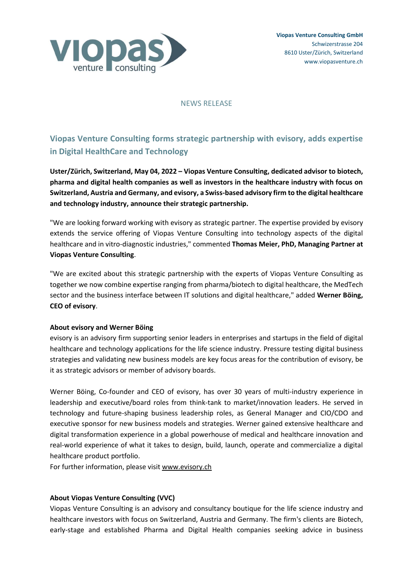

## NEWS RELEASE

# **Viopas Venture Consulting forms strategic partnership with evisory, adds expertise in Digital HealthCare and Technology**

**Uster/Zürich, Switzerland, May 04, 2022 – Viopas Venture Consulting, dedicated advisor to biotech, pharma and digital health companies as well as investors in the healthcare industry with focus on Switzerland, Austria and Germany, and evisory, a Swiss-based advisory firm to the digital healthcare and technology industry, announce their strategic partnership.**

"We are looking forward working with evisory as strategic partner. The expertise provided by evisory extends the service offering of Viopas Venture Consulting into technology aspects of the digital healthcare and in vitro-diagnostic industries," commented **Thomas Meier, PhD, Managing Partner at Viopas Venture Consulting**.

"We are excited about this strategic partnership with the experts of Viopas Venture Consulting as together we now combine expertise ranging from pharma/biotech to digital healthcare, the MedTech sector and the business interface between IT solutions and digital healthcare," added **Werner Böing, CEO of evisory**.

## **About evisory and Werner Böing**

evisory is an advisory firm supporting senior leaders in enterprises and startups in the field of digital healthcare and technology applications for the life science industry. Pressure testing digital business strategies and validating new business models are key focus areas for the contribution of evisory, be it as strategic advisors or member of advisory boards.

Werner Böing, Co-founder and CEO of evisory, has over 30 years of multi-industry experience in leadership and executive/board roles from think-tank to market/innovation leaders. He served in technology and future-shaping business leadership roles, as General Manager and CIO/CDO and executive sponsor for new business models and strategies. Werner gained extensive healthcare and digital transformation experience in a global powerhouse of medical and healthcare innovation and real-world experience of what it takes to design, build, launch, operate and commercialize a digital healthcare product portfolio.

For further information, please visit www.evisory.ch

## **About Viopas Venture Consulting (VVC)**

Viopas Venture Consulting is an advisory and consultancy boutique for the life science industry and healthcare investors with focus on Switzerland, Austria and Germany. The firm's clients are Biotech, early-stage and established Pharma and Digital Health companies seeking advice in business